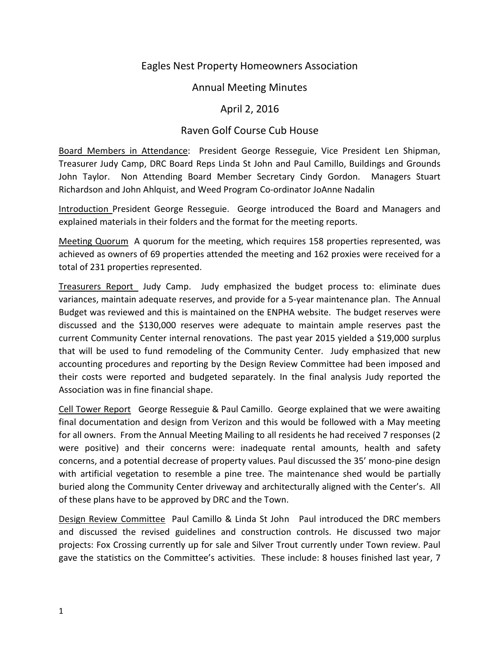# Eagles Nest Property Homeowners Association

# Annual Meeting Minutes

# April 2, 2016

# Raven Golf Course Cub House

Board Members in Attendance: President George Resseguie, Vice President Len Shipman, Treasurer Judy Camp, DRC Board Reps Linda St John and Paul Camillo, Buildings and Grounds John Taylor. Non Attending Board Member Secretary Cindy Gordon. Managers Stuart Richardson and John Ahlquist, and Weed Program Co-ordinator JoAnne Nadalin

Introduction President George Resseguie. George introduced the Board and Managers and explained materials in their folders and the format for the meeting reports.

Meeting Quorum A quorum for the meeting, which requires 158 properties represented, was achieved as owners of 69 properties attended the meeting and 162 proxies were received for a total of 231 properties represented.

Treasurers Report Judy Camp. Judy emphasized the budget process to: eliminate dues variances, maintain adequate reserves, and provide for a 5-year maintenance plan. The Annual Budget was reviewed and this is maintained on the ENPHA website. The budget reserves were discussed and the \$130,000 reserves were adequate to maintain ample reserves past the current Community Center internal renovations. The past year 2015 yielded a \$19,000 surplus that will be used to fund remodeling of the Community Center. Judy emphasized that new accounting procedures and reporting by the Design Review Committee had been imposed and their costs were reported and budgeted separately. In the final analysis Judy reported the Association was in fine financial shape.

Cell Tower Report George Resseguie & Paul Camillo. George explained that we were awaiting final documentation and design from Verizon and this would be followed with a May meeting for all owners. From the Annual Meeting Mailing to all residents he had received 7 responses (2 were positive) and their concerns were: inadequate rental amounts, health and safety concerns, and a potential decrease of property values. Paul discussed the 35' mono-pine design with artificial vegetation to resemble a pine tree. The maintenance shed would be partially buried along the Community Center driveway and architecturally aligned with the Center's. All of these plans have to be approved by DRC and the Town.

Design Review Committee Paul Camillo & Linda St John Paul introduced the DRC members and discussed the revised guidelines and construction controls. He discussed two major projects: Fox Crossing currently up for sale and Silver Trout currently under Town review. Paul gave the statistics on the Committee's activities. These include: 8 houses finished last year, 7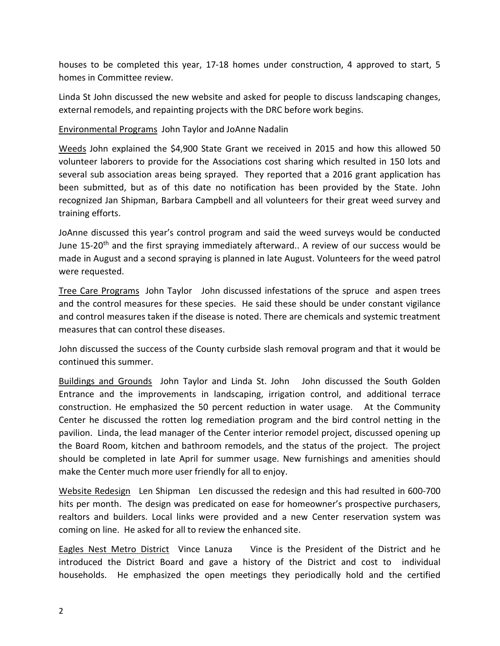houses to be completed this year, 17-18 homes under construction, 4 approved to start, 5 homes in Committee review.

Linda St John discussed the new website and asked for people to discuss landscaping changes, external remodels, and repainting projects with the DRC before work begins.

### Environmental Programs John Taylor and JoAnne Nadalin

Weeds John explained the \$4,900 State Grant we received in 2015 and how this allowed 50 volunteer laborers to provide for the Associations cost sharing which resulted in 150 lots and several sub association areas being sprayed. They reported that a 2016 grant application has been submitted, but as of this date no notification has been provided by the State. John recognized Jan Shipman, Barbara Campbell and all volunteers for their great weed survey and training efforts.

JoAnne discussed this year's control program and said the weed surveys would be conducted June 15-20<sup>th</sup> and the first spraying immediately afterward.. A review of our success would be made in August and a second spraying is planned in late August. Volunteers for the weed patrol were requested.

Tree Care Programs John Taylor John discussed infestations of the spruce and aspen trees and the control measures for these species. He said these should be under constant vigilance and control measures taken if the disease is noted. There are chemicals and systemic treatment measures that can control these diseases.

John discussed the success of the County curbside slash removal program and that it would be continued this summer.

Buildings and Grounds John Taylor and Linda St. John John discussed the South Golden Entrance and the improvements in landscaping, irrigation control, and additional terrace construction. He emphasized the 50 percent reduction in water usage. At the Community Center he discussed the rotten log remediation program and the bird control netting in the pavilion. Linda, the lead manager of the Center interior remodel project, discussed opening up the Board Room, kitchen and bathroom remodels, and the status of the project. The project should be completed in late April for summer usage. New furnishings and amenities should make the Center much more user friendly for all to enjoy.

Website Redesign Len Shipman Len discussed the redesign and this had resulted in 600-700 hits per month. The design was predicated on ease for homeowner's prospective purchasers, realtors and builders. Local links were provided and a new Center reservation system was coming on line. He asked for all to review the enhanced site.

Eagles Nest Metro District Vince Lanuza Vince is the President of the District and he introduced the District Board and gave a history of the District and cost to individual households. He emphasized the open meetings they periodically hold and the certified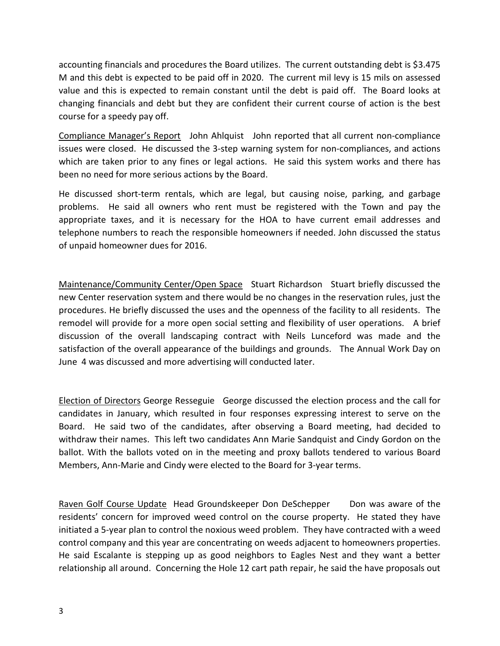accounting financials and procedures the Board utilizes. The current outstanding debt is \$3.475 M and this debt is expected to be paid off in 2020. The current mil levy is 15 mils on assessed value and this is expected to remain constant until the debt is paid off. The Board looks at changing financials and debt but they are confident their current course of action is the best course for a speedy pay off.

Compliance Manager's Report John Ahlquist John reported that all current non-compliance issues were closed. He discussed the 3-step warning system for non-compliances, and actions which are taken prior to any fines or legal actions. He said this system works and there has been no need for more serious actions by the Board.

He discussed short-term rentals, which are legal, but causing noise, parking, and garbage problems. He said all owners who rent must be registered with the Town and pay the appropriate taxes, and it is necessary for the HOA to have current email addresses and telephone numbers to reach the responsible homeowners if needed. John discussed the status of unpaid homeowner dues for 2016.

Maintenance/Community Center/Open Space Stuart Richardson Stuart briefly discussed the new Center reservation system and there would be no changes in the reservation rules, just the procedures. He briefly discussed the uses and the openness of the facility to all residents. The remodel will provide for a more open social setting and flexibility of user operations. A brief discussion of the overall landscaping contract with Neils Lunceford was made and the satisfaction of the overall appearance of the buildings and grounds. The Annual Work Day on June 4 was discussed and more advertising will conducted later.

Election of Directors George Resseguie George discussed the election process and the call for candidates in January, which resulted in four responses expressing interest to serve on the Board. He said two of the candidates, after observing a Board meeting, had decided to withdraw their names. This left two candidates Ann Marie Sandquist and Cindy Gordon on the ballot. With the ballots voted on in the meeting and proxy ballots tendered to various Board Members, Ann-Marie and Cindy were elected to the Board for 3-year terms.

Raven Golf Course Update Head Groundskeeper Don DeSchepper Don was aware of the residents' concern for improved weed control on the course property. He stated they have initiated a 5-year plan to control the noxious weed problem. They have contracted with a weed control company and this year are concentrating on weeds adjacent to homeowners properties. He said Escalante is stepping up as good neighbors to Eagles Nest and they want a better relationship all around. Concerning the Hole 12 cart path repair, he said the have proposals out